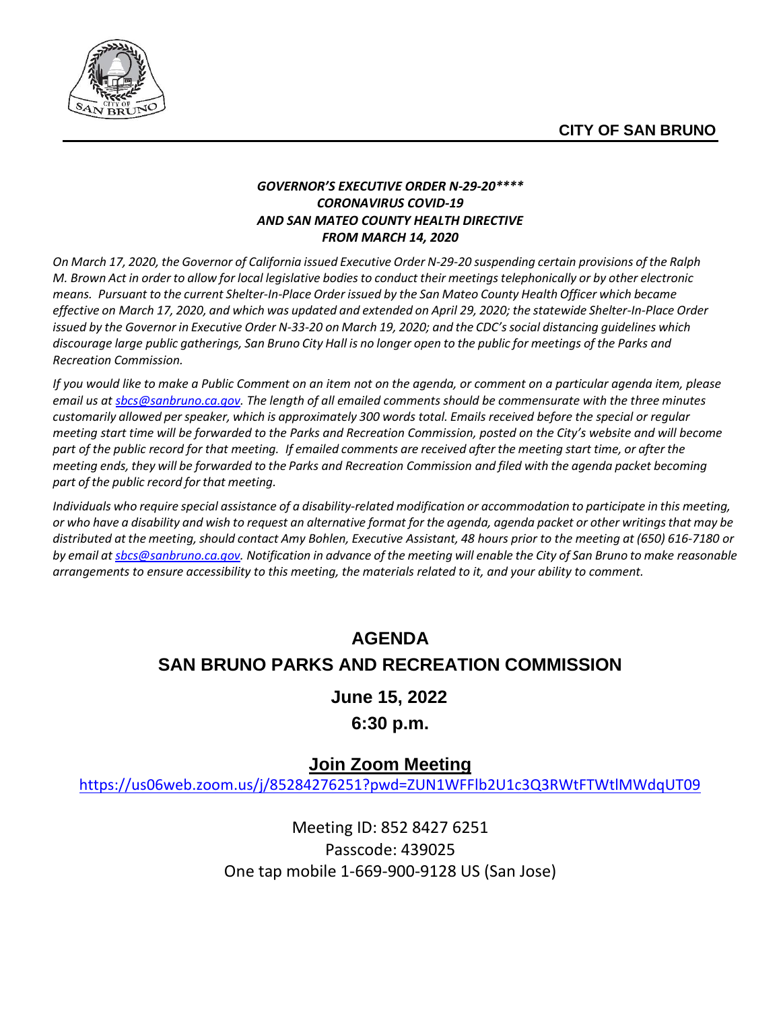

#### *GOVERNOR'S EXECUTIVE ORDER N-29-20\*\*\*\* CORONAVIRUS COVID-19 AND SAN MATEO COUNTY HEALTH DIRECTIVE FROM MARCH 14, 2020*

On March 17, 2020, the Governor of California issued Executive Order N-29-20 suspending certain provisions of the Ralph M. Brown Act in order to allow for local legislative bodies to conduct their meetings telephonically or by other electronic *means. Pursuant to the current Shelter-In-Place Order issued by the San Mateo County Health Officer which became* effective on March 17, 2020, and which was updated and extended on April 29, 2020; the statewide Shelter-In-Place Order issued by the Governor in Executive Order N-33-20 on March 19, 2020; and the CDC's social distancing guidelines which discourage large public gatherings, San Bruno City Hall is no longer open to the public for meetings of the Parks and *Recreation Commission.*

*If you would like to make a Public Comment on an item not on the agenda, or comment on a particular agenda item, please email us a[t sbcs@sanbruno.ca.gov.](mailto:sbcs@sanbruno.ca.gov) The length of all emailed comments should be commensurate with the three minutes customarily allowed perspeaker, which is approximately 300 words total. Emails received before the special or regular meeting start time will be forwarded to the Parks and Recreation Commission, posted on the City's website and will become part of the public record for that meeting. If emailed comments are received after the meeting start time, or after the meeting ends, they will be forwarded to the Parks and Recreation Commission and filed with the agenda packet becoming part of the public record for that meeting.* 

Individuals who require special assistance of a disability-related modification or accommodation to participate in this meeting, or who have a disability and wish to request an alternative format for the agenda, agenda packet or other writings that may be *distributed at the meeting,should contact Amy Bohlen, Executive Assistant, 48 hours prior to the meeting at (650) 616-7180 or* by email at [sbcs@sanbruno.ca.gov.](mailto:sbcs@sanbruno.ca.gov) Notification in advance of the meeting will enable the City of San Bruno to make reasonable *arrangements to ensure accessibility to this meeting, the materials related to it, and your ability to comment.* 

# **AGENDA SAN BRUNO PARKS AND RECREATION COMMISSION**

## **June 15, 2022**

## **6:30 p.m.**

## **Join Zoom Meeting**

<https://us06web.zoom.us/j/85284276251?pwd=ZUN1WFFlb2U1c3Q3RWtFTWtlMWdqUT09>

Meeting ID: 852 8427 6251 Passcode: 439025 One tap mobile 1-669-900-9128 US (San Jose)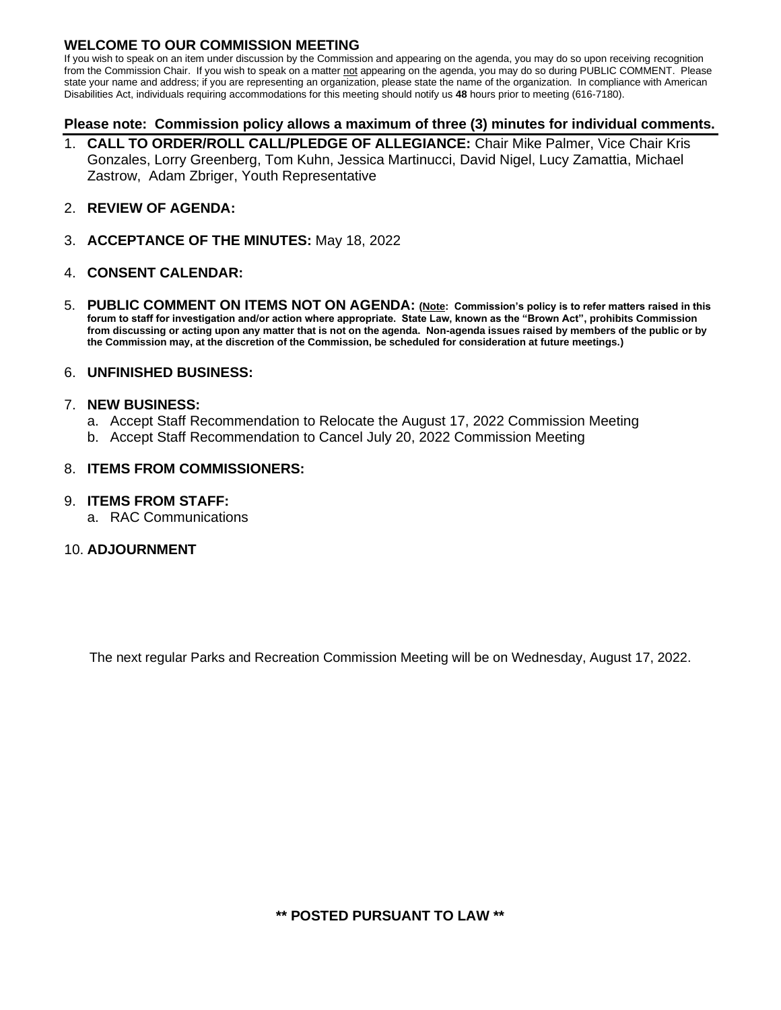#### **WELCOME TO OUR COMMISSION MEETING**

If you wish to speak on an item under discussion by the Commission and appearing on the agenda, you may do so upon receiving recognition from the Commission Chair. If you wish to speak on a matter not appearing on the agenda, you may do so during PUBLIC COMMENT. Please state your name and address; if you are representing an organization, please state the name of the organization. In compliance with American Disabilities Act, individuals requiring accommodations for this meeting should notify us **48** hours prior to meeting (616-7180).

#### **Please note: Commission policy allows a maximum of three (3) minutes for individual comments.**

- 1. **CALL TO ORDER/ROLL CALL/PLEDGE OF ALLEGIANCE:** Chair Mike Palmer, Vice Chair Kris Gonzales, Lorry Greenberg, Tom Kuhn, Jessica Martinucci, David Nigel, Lucy Zamattia, Michael Zastrow, Adam Zbriger, Youth Representative
- 2. **REVIEW OF AGENDA:**
- 3. **ACCEPTANCE OF THE MINUTES:** May 18, 2022

#### 4. **CONSENT CALENDAR:**

5. **PUBLIC COMMENT ON ITEMS NOT ON AGENDA: (Note: Commission's policy is to refer matters raised in this forum to staff for investigation and/or action where appropriate. State Law, known as the "Brown Act", prohibits Commission from discussing or acting upon any matter that is not on the agenda. Non-agenda issues raised by members of the public or by the Commission may, at the discretion of the Commission, be scheduled for consideration at future meetings.)**

#### 6. **UNFINISHED BUSINESS:**

#### 7. **NEW BUSINESS:**

- a. Accept Staff Recommendation to Relocate the August 17, 2022 Commission Meeting
- b. Accept Staff Recommendation to Cancel July 20, 2022 Commission Meeting

#### 8. **ITEMS FROM COMMISSIONERS:**

#### 9. **ITEMS FROM STAFF:**

a. RAC Communications

#### 10. **ADJOURNMENT**

The next regular Parks and Recreation Commission Meeting will be on Wednesday, August 17, 2022.

**\*\* POSTED PURSUANT TO LAW \*\***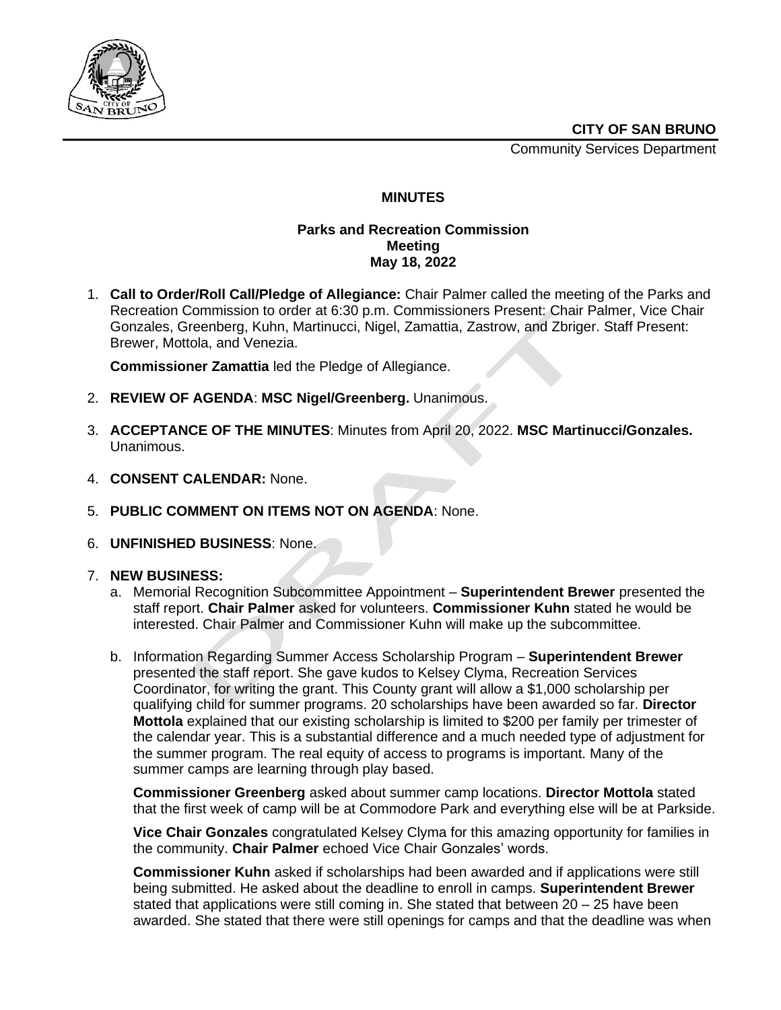

Community Services Department



#### **MINUTES**

#### **Parks and Recreation Commission Meeting May 18, 2022**

1. **Call to Order/Roll Call/Pledge of Allegiance:** Chair Palmer called the meeting of the Parks and Recreation Commission to order at 6:30 p.m. Commissioners Present: Chair Palmer, Vice Chair Gonzales, Greenberg, Kuhn, Martinucci, Nigel, Zamattia, Zastrow, and Zbriger. Staff Present: Brewer, Mottola, and Venezia.

**Commissioner Zamattia** led the Pledge of Allegiance.

- 2. **REVIEW OF AGENDA**: **MSC Nigel/Greenberg.** Unanimous.
- 3. **ACCEPTANCE OF THE MINUTES**: Minutes from April 20, 2022. **MSC Martinucci/Gonzales.** Unanimous.
- 4. **CONSENT CALENDAR:** None.
- 5. **PUBLIC COMMENT ON ITEMS NOT ON AGENDA**: None.
- 6. **UNFINISHED BUSINESS**: None.

#### 7. **NEW BUSINESS:**

- a. Memorial Recognition Subcommittee Appointment **Superintendent Brewer** presented the staff report. **Chair Palmer** asked for volunteers. **Commissioner Kuhn** stated he would be interested. Chair Palmer and Commissioner Kuhn will make up the subcommittee.
- b. Information Regarding Summer Access Scholarship Program **Superintendent Brewer** presented the staff report. She gave kudos to Kelsey Clyma, Recreation Services Coordinator, for writing the grant. This County grant will allow a \$1,000 scholarship per qualifying child for summer programs. 20 scholarships have been awarded so far. **Director Mottola** explained that our existing scholarship is limited to \$200 per family per trimester of the calendar year. This is a substantial difference and a much needed type of adjustment for the summer program. The real equity of access to programs is important. Many of the summer camps are learning through play based.

**Commissioner Greenberg** asked about summer camp locations. **Director Mottola** stated that the first week of camp will be at Commodore Park and everything else will be at Parkside.

**Vice Chair Gonzales** congratulated Kelsey Clyma for this amazing opportunity for families in the community. **Chair Palmer** echoed Vice Chair Gonzales' words.

**Commissioner Kuhn** asked if scholarships had been awarded and if applications were still being submitted. He asked about the deadline to enroll in camps. **Superintendent Brewer** stated that applications were still coming in. She stated that between 20 – 25 have been awarded. She stated that there were still openings for camps and that the deadline was when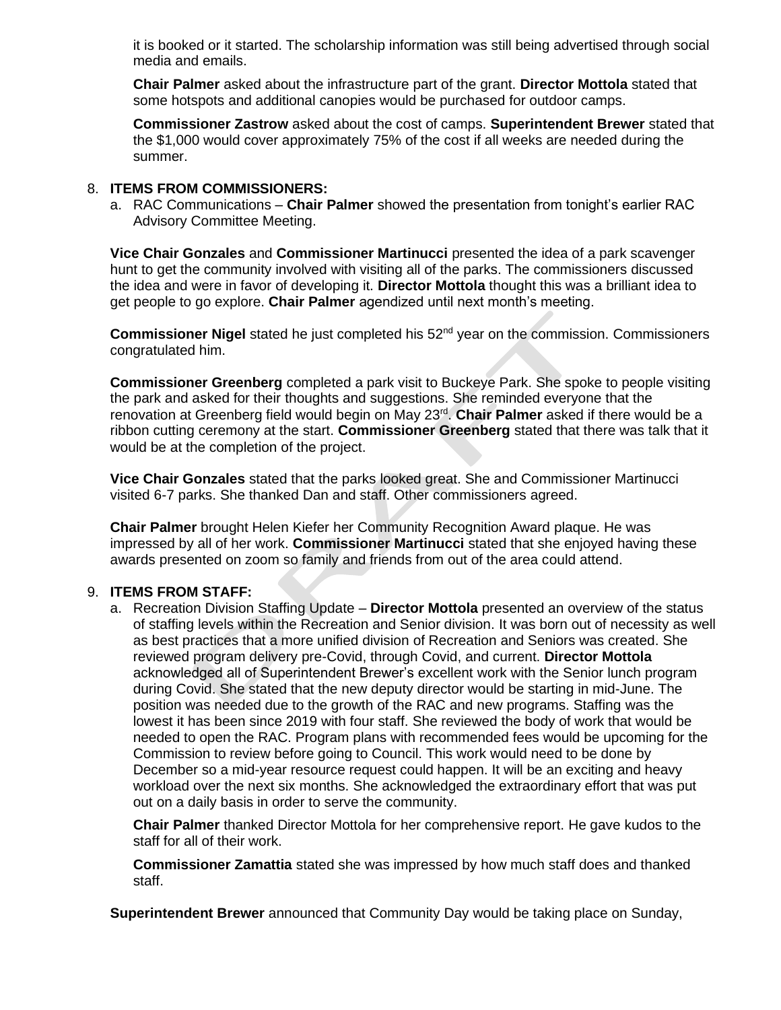it is booked or it started. The scholarship information was still being advertised through social media and emails.

**Chair Palmer** asked about the infrastructure part of the grant. **Director Mottola** stated that some hotspots and additional canopies would be purchased for outdoor camps.

**Commissioner Zastrow** asked about the cost of camps. **Superintendent Brewer** stated that the \$1,000 would cover approximately 75% of the cost if all weeks are needed during the summer.

#### 8. **ITEMS FROM COMMISSIONERS:**

a. RAC Communications – **Chair Palmer** showed the presentation from tonight's earlier RAC Advisory Committee Meeting.

**Vice Chair Gonzales** and **Commissioner Martinucci** presented the idea of a park scavenger hunt to get the community involved with visiting all of the parks. The commissioners discussed the idea and were in favor of developing it. **Director Mottola** thought this was a brilliant idea to get people to go explore. **Chair Palmer** agendized until next month's meeting.

**Commissioner Nigel** stated he just completed his 52nd year on the commission. Commissioners congratulated him.

**Commissioner Greenberg** completed a park visit to Buckeye Park. She spoke to people visiting the park and asked for their thoughts and suggestions. She reminded everyone that the renovation at Greenberg field would begin on May 23<sup>rd</sup>. Chair Palmer asked if there would be a ribbon cutting ceremony at the start. **Commissioner Greenberg** stated that there was talk that it would be at the completion of the project.

**Vice Chair Gonzales** stated that the parks looked great. She and Commissioner Martinucci visited 6-7 parks. She thanked Dan and staff. Other commissioners agreed.

**Chair Palmer** brought Helen Kiefer her Community Recognition Award plaque. He was impressed by all of her work. **Commissioner Martinucci** stated that she enjoyed having these awards presented on zoom so family and friends from out of the area could attend.

#### 9. **ITEMS FROM STAFF:**

a. Recreation Division Staffing Update – **Director Mottola** presented an overview of the status of staffing levels within the Recreation and Senior division. It was born out of necessity as well as best practices that a more unified division of Recreation and Seniors was created. She reviewed program delivery pre-Covid, through Covid, and current. **Director Mottola** acknowledged all of Superintendent Brewer's excellent work with the Senior lunch program during Covid. She stated that the new deputy director would be starting in mid-June. The position was needed due to the growth of the RAC and new programs. Staffing was the lowest it has been since 2019 with four staff. She reviewed the body of work that would be needed to open the RAC. Program plans with recommended fees would be upcoming for the Commission to review before going to Council. This work would need to be done by December so a mid-year resource request could happen. It will be an exciting and heavy workload over the next six months. She acknowledged the extraordinary effort that was put out on a daily basis in order to serve the community.

**Chair Palmer** thanked Director Mottola for her comprehensive report. He gave kudos to the staff for all of their work.

**Commissioner Zamattia** stated she was impressed by how much staff does and thanked staff.

**Superintendent Brewer** announced that Community Day would be taking place on Sunday,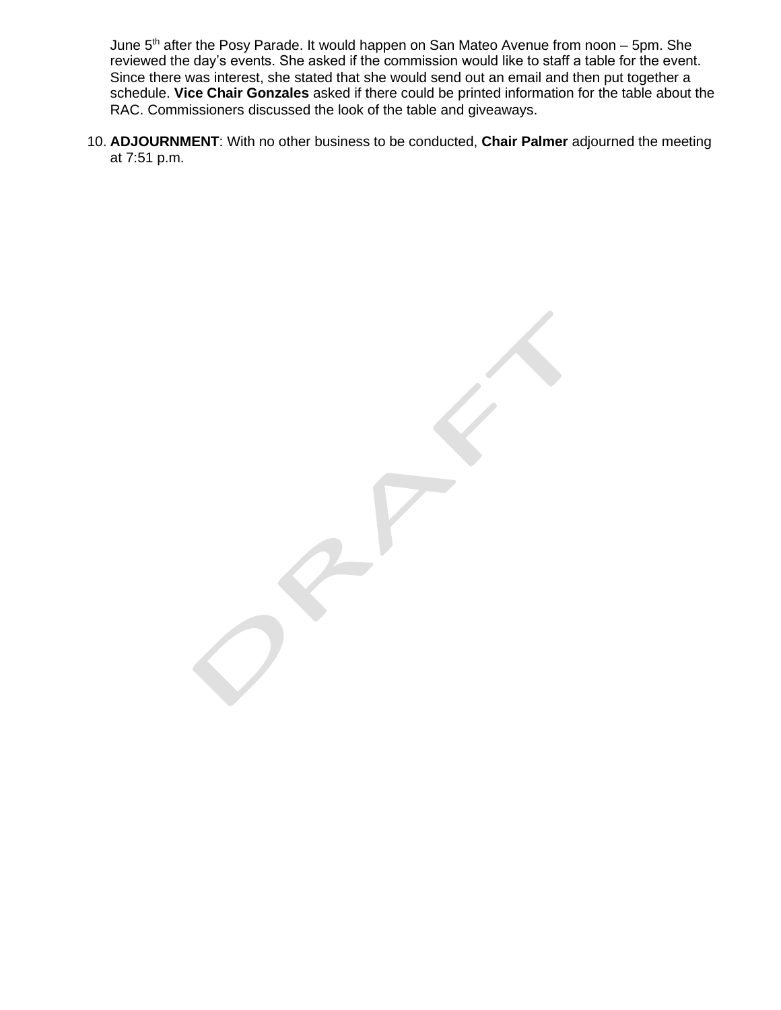June 5<sup>th</sup> after the Posy Parade. It would happen on San Mateo Avenue from noon – 5pm. She reviewed the day's events. She asked if the commission would like to staff a table for the event. Since there was interest, she stated that she would send out an email and then put together a schedule. **Vice Chair Gonzales** asked if there could be printed information for the table about the RAC. Commissioners discussed the look of the table and giveaways.

10. **ADJOURNMENT**: With no other business to be conducted, **Chair Palmer** adjourned the meeting at 7:51 p.m.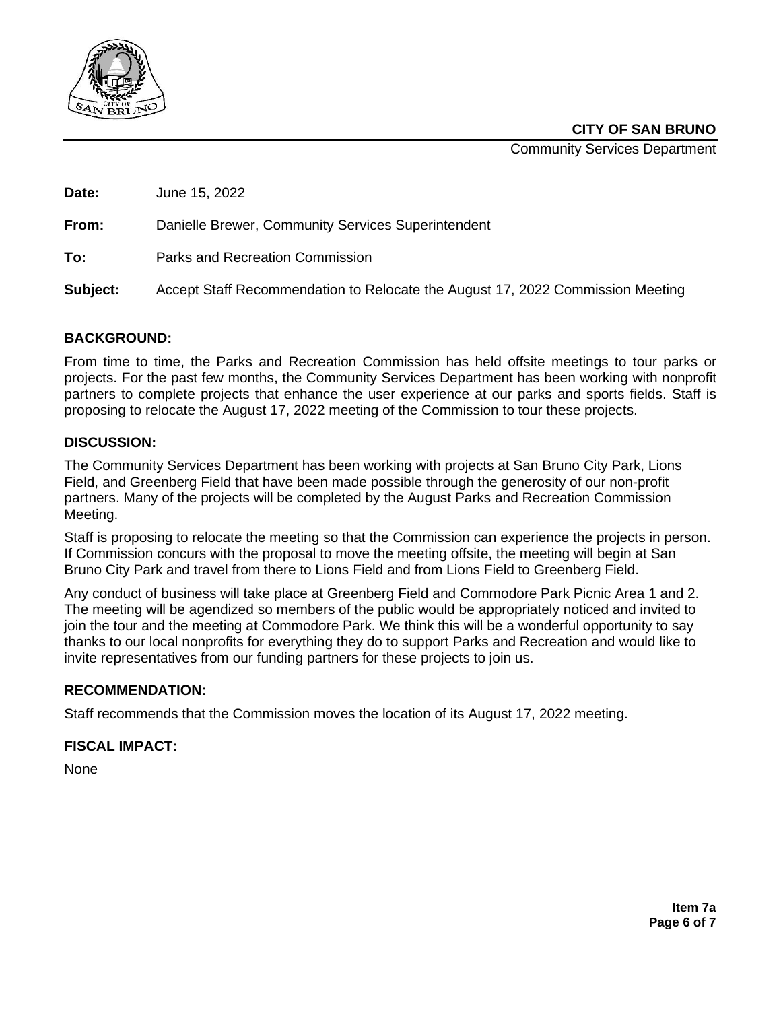

**CITY OF SAN BRUNO**

Community Services Department

**Date:** June 15, 2022

**From:** Danielle Brewer, Community Services Superintendent

**To:** Parks and Recreation Commission

**Subject:** Accept Staff Recommendation to Relocate the August 17, 2022 Commission Meeting

#### **BACKGROUND:**

From time to time, the Parks and Recreation Commission has held offsite meetings to tour parks or projects. For the past few months, the Community Services Department has been working with nonprofit partners to complete projects that enhance the user experience at our parks and sports fields. Staff is proposing to relocate the August 17, 2022 meeting of the Commission to tour these projects.

#### **DISCUSSION:**

The Community Services Department has been working with projects at San Bruno City Park, Lions Field, and Greenberg Field that have been made possible through the generosity of our non-profit partners. Many of the projects will be completed by the August Parks and Recreation Commission Meeting.

Staff is proposing to relocate the meeting so that the Commission can experience the projects in person. If Commission concurs with the proposal to move the meeting offsite, the meeting will begin at San Bruno City Park and travel from there to Lions Field and from Lions Field to Greenberg Field.

Any conduct of business will take place at Greenberg Field and Commodore Park Picnic Area 1 and 2. The meeting will be agendized so members of the public would be appropriately noticed and invited to join the tour and the meeting at Commodore Park. We think this will be a wonderful opportunity to say thanks to our local nonprofits for everything they do to support Parks and Recreation and would like to invite representatives from our funding partners for these projects to join us.

#### **RECOMMENDATION:**

Staff recommends that the Commission moves the location of its August 17, 2022 meeting.

#### **FISCAL IMPACT:**

None